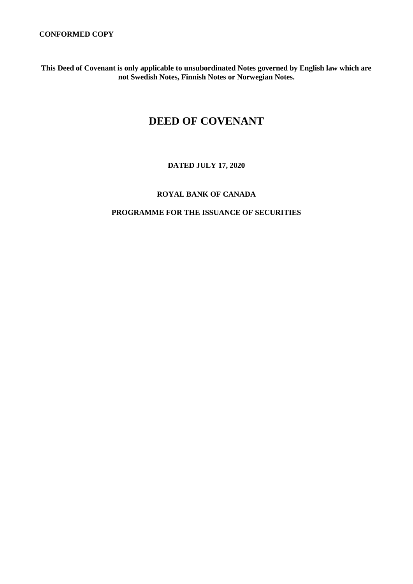**This Deed of Covenant is only applicable to unsubordinated Notes governed by English law which are not Swedish Notes, Finnish Notes or Norwegian Notes.**

# **DEED OF COVENANT**

### **DATED JULY 17, 2020**

## **ROYAL BANK OF CANADA**

### **PROGRAMME FOR THE ISSUANCE OF SECURITIES**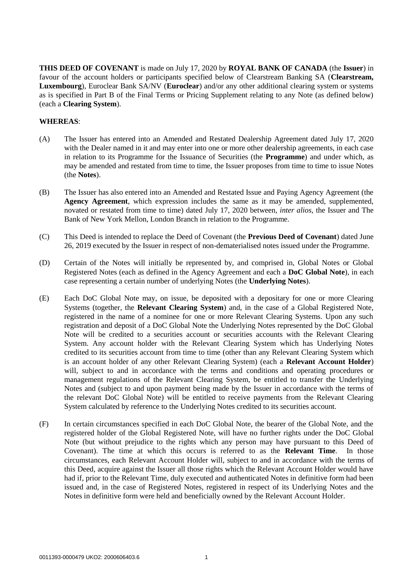**THIS DEED OF COVENANT** is made on July 17, 2020 by **ROYAL BANK OF CANADA** (the **Issuer**) in favour of the account holders or participants specified below of Clearstream Banking SA (**Clearstream, Luxembourg**), Euroclear Bank SA/NV (**Euroclear**) and/or any other additional clearing system or systems as is specified in Part B of the Final Terms or Pricing Supplement relating to any Note (as defined below) (each a **Clearing System**).

#### **WHEREAS**:

- (A) The Issuer has entered into an Amended and Restated Dealership Agreement dated July 17, 2020 with the Dealer named in it and may enter into one or more other dealership agreements, in each case in relation to its Programme for the Issuance of Securities (the **Programme**) and under which, as may be amended and restated from time to time, the Issuer proposes from time to time to issue Notes (the **Notes**).
- (B) The Issuer has also entered into an Amended and Restated Issue and Paying Agency Agreement (the **Agency Agreement**, which expression includes the same as it may be amended, supplemented, novated or restated from time to time) dated July 17, 2020 between, *inter alios*, the Issuer and The Bank of New York Mellon, London Branch in relation to the Programme.
- (C) This Deed is intended to replace the Deed of Covenant (the **Previous Deed of Covenant**) dated June 26, 2019 executed by the Issuer in respect of non-dematerialised notes issued under the Programme.
- (D) Certain of the Notes will initially be represented by, and comprised in, Global Notes or Global Registered Notes (each as defined in the Agency Agreement and each a **DoC Global Note**), in each case representing a certain number of underlying Notes (the **Underlying Notes**).
- (E) Each DoC Global Note may, on issue, be deposited with a depositary for one or more Clearing Systems (together, the **Relevant Clearing System**) and, in the case of a Global Registered Note, registered in the name of a nominee for one or more Relevant Clearing Systems. Upon any such registration and deposit of a DoC Global Note the Underlying Notes represented by the DoC Global Note will be credited to a securities account or securities accounts with the Relevant Clearing System. Any account holder with the Relevant Clearing System which has Underlying Notes credited to its securities account from time to time (other than any Relevant Clearing System which is an account holder of any other Relevant Clearing System) (each a **Relevant Account Holder**) will, subject to and in accordance with the terms and conditions and operating procedures or management regulations of the Relevant Clearing System, be entitled to transfer the Underlying Notes and (subject to and upon payment being made by the Issuer in accordance with the terms of the relevant DoC Global Note) will be entitled to receive payments from the Relevant Clearing System calculated by reference to the Underlying Notes credited to its securities account.
- (F) In certain circumstances specified in each DoC Global Note, the bearer of the Global Note, and the registered holder of the Global Registered Note, will have no further rights under the DoC Global Note (but without prejudice to the rights which any person may have pursuant to this Deed of Covenant). The time at which this occurs is referred to as the **Relevant Time**. In those circumstances, each Relevant Account Holder will, subject to and in accordance with the terms of this Deed, acquire against the Issuer all those rights which the Relevant Account Holder would have had if, prior to the Relevant Time, duly executed and authenticated Notes in definitive form had been issued and, in the case of Registered Notes, registered in respect of its Underlying Notes and the Notes in definitive form were held and beneficially owned by the Relevant Account Holder.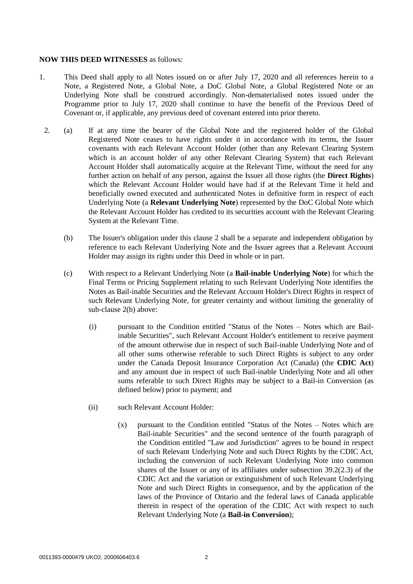#### **NOW THIS DEED WITNESSES** as follows:

- 1. This Deed shall apply to all Notes issued on or after July 17, 2020 and all references herein to a Note, a Registered Note, a Global Note, a DoC Global Note, a Global Registered Note or an Underlying Note shall be construed accordingly. Non-dematerialised notes issued under the Programme prior to July 17, 2020 shall continue to have the benefit of the Previous Deed of Covenant or, if applicable, any previous deed of covenant entered into prior thereto.
	- 2. (a) If at any time the bearer of the Global Note and the registered holder of the Global Registered Note ceases to have rights under it in accordance with its terms, the Issuer covenants with each Relevant Account Holder (other than any Relevant Clearing System which is an account holder of any other Relevant Clearing System) that each Relevant Account Holder shall automatically acquire at the Relevant Time, without the need for any further action on behalf of any person, against the Issuer all those rights (the **Direct Rights**) which the Relevant Account Holder would have had if at the Relevant Time it held and beneficially owned executed and authenticated Notes in definitive form in respect of each Underlying Note (a **Relevant Underlying Note**) represented by the DoC Global Note which the Relevant Account Holder has credited to its securities account with the Relevant Clearing System at the Relevant Time.
		- (b) The Issuer's obligation under this clause 2 shall be a separate and independent obligation by reference to each Relevant Underlying Note and the Issuer agrees that a Relevant Account Holder may assign its rights under this Deed in whole or in part.
		- (c) With respect to a Relevant Underlying Note (a **Bail-inable Underlying Note**) for which the Final Terms or Pricing Supplement relating to such Relevant Underlying Note identifies the Notes as Bail-inable Securities and the Relevant Account Holder's Direct Rights in respect of such Relevant Underlying Note, for greater certainty and without limiting the generality of sub-clause 2(b) above:
			- (i) pursuant to the Condition entitled "Status of the Notes Notes which are Bailinable Securities", such Relevant Account Holder's entitlement to receive payment of the amount otherwise due in respect of such Bail-inable Underlying Note and of all other sums otherwise referable to such Direct Rights is subject to any order under the Canada Deposit Insurance Corporation Act (Canada) (the **CDIC Act**) and any amount due in respect of such Bail-inable Underlying Note and all other sums referable to such Direct Rights may be subject to a Bail-in Conversion (as defined below) prior to payment; and
			- (ii) such Relevant Account Holder:
				- (x) pursuant to the Condition entitled "Status of the Notes Notes which are Bail-inable Securities" and the second sentence of the fourth paragraph of the Condition entitled "Law and Jurisdiction" agrees to be bound in respect of such Relevant Underlying Note and such Direct Rights by the CDIC Act, including the conversion of such Relevant Underlying Note into common shares of the Issuer or any of its affiliates under subsection 39.2(2.3) of the CDIC Act and the variation or extinguishment of such Relevant Underlying Note and such Direct Rights in consequence, and by the application of the laws of the Province of Ontario and the federal laws of Canada applicable therein in respect of the operation of the CDIC Act with respect to such Relevant Underlying Note (a **Bail-in Conversion**);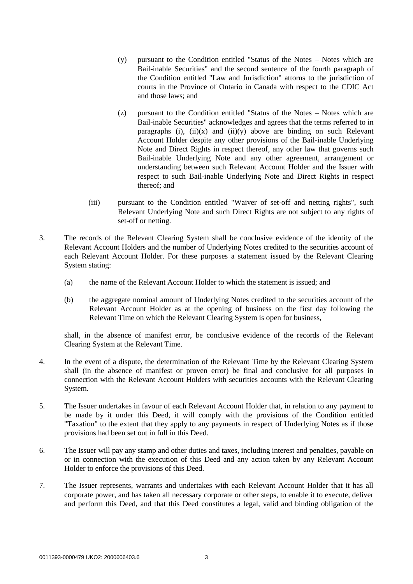- (y) pursuant to the Condition entitled "Status of the Notes Notes which are Bail-inable Securities" and the second sentence of the fourth paragraph of the Condition entitled "Law and Jurisdiction" attorns to the jurisdiction of courts in the Province of Ontario in Canada with respect to the CDIC Act and those laws; and
- (z) pursuant to the Condition entitled "Status of the Notes Notes which are Bail-inable Securities" acknowledges and agrees that the terms referred to in paragraphs (i),  $(ii)(x)$  and  $(ii)(y)$  above are binding on such Relevant Account Holder despite any other provisions of the Bail-inable Underlying Note and Direct Rights in respect thereof, any other law that governs such Bail-inable Underlying Note and any other agreement, arrangement or understanding between such Relevant Account Holder and the Issuer with respect to such Bail-inable Underlying Note and Direct Rights in respect thereof; and
- (iii) pursuant to the Condition entitled "Waiver of set-off and netting rights", such Relevant Underlying Note and such Direct Rights are not subject to any rights of set-off or netting.
- 3. The records of the Relevant Clearing System shall be conclusive evidence of the identity of the Relevant Account Holders and the number of Underlying Notes credited to the securities account of each Relevant Account Holder. For these purposes a statement issued by the Relevant Clearing System stating:
	- (a) the name of the Relevant Account Holder to which the statement is issued; and
	- (b) the aggregate nominal amount of Underlying Notes credited to the securities account of the Relevant Account Holder as at the opening of business on the first day following the Relevant Time on which the Relevant Clearing System is open for business,

shall, in the absence of manifest error, be conclusive evidence of the records of the Relevant Clearing System at the Relevant Time.

- 4. In the event of a dispute, the determination of the Relevant Time by the Relevant Clearing System shall (in the absence of manifest or proven error) be final and conclusive for all purposes in connection with the Relevant Account Holders with securities accounts with the Relevant Clearing System.
- 5. The Issuer undertakes in favour of each Relevant Account Holder that, in relation to any payment to be made by it under this Deed, it will comply with the provisions of the Condition entitled "Taxation" to the extent that they apply to any payments in respect of Underlying Notes as if those provisions had been set out in full in this Deed.
- 6. The Issuer will pay any stamp and other duties and taxes, including interest and penalties, payable on or in connection with the execution of this Deed and any action taken by any Relevant Account Holder to enforce the provisions of this Deed.
- 7. The Issuer represents, warrants and undertakes with each Relevant Account Holder that it has all corporate power, and has taken all necessary corporate or other steps, to enable it to execute, deliver and perform this Deed, and that this Deed constitutes a legal, valid and binding obligation of the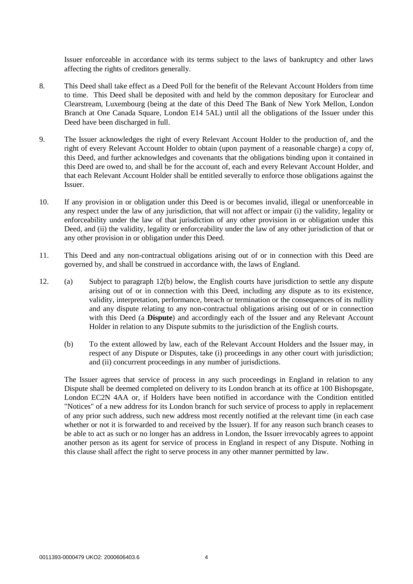Issuer enforceable in accordance with its terms subject to the laws of bankruptcy and other laws affecting the rights of creditors generally.

- 8. This Deed shall take effect as a Deed Poll for the benefit of the Relevant Account Holders from time to time. This Deed shall be deposited with and held by the common depositary for Euroclear and Clearstream, Luxembourg (being at the date of this Deed The Bank of New York Mellon, London Branch at One Canada Square, London E14 5AL) until all the obligations of the Issuer under this Deed have been discharged in full.
- 9. The Issuer acknowledges the right of every Relevant Account Holder to the production of, and the right of every Relevant Account Holder to obtain (upon payment of a reasonable charge) a copy of, this Deed, and further acknowledges and covenants that the obligations binding upon it contained in this Deed are owed to, and shall be for the account of, each and every Relevant Account Holder, and that each Relevant Account Holder shall be entitled severally to enforce those obligations against the Issuer.
- 10. If any provision in or obligation under this Deed is or becomes invalid, illegal or unenforceable in any respect under the law of any jurisdiction, that will not affect or impair (i) the validity, legality or enforceability under the law of that jurisdiction of any other provision in or obligation under this Deed, and (ii) the validity, legality or enforceability under the law of any other jurisdiction of that or any other provision in or obligation under this Deed.
- 11. This Deed and any non-contractual obligations arising out of or in connection with this Deed are governed by, and shall be construed in accordance with, the laws of England.
- 12. (a) Subject to paragraph 12(b) below, the English courts have jurisdiction to settle any dispute arising out of or in connection with this Deed, including any dispute as to its existence, validity, interpretation, performance, breach or termination or the consequences of its nullity and any dispute relating to any non-contractual obligations arising out of or in connection with this Deed (a **Dispute**) and accordingly each of the Issuer and any Relevant Account Holder in relation to any Dispute submits to the jurisdiction of the English courts.
	- (b) To the extent allowed by law, each of the Relevant Account Holders and the Issuer may, in respect of any Dispute or Disputes, take (i) proceedings in any other court with jurisdiction; and (ii) concurrent proceedings in any number of jurisdictions.

The Issuer agrees that service of process in any such proceedings in England in relation to any Dispute shall be deemed completed on delivery to its London branch at its office at 100 Bishopsgate, London EC2N 4AA or, if Holders have been notified in accordance with the Condition entitled "Notices" of a new address for its London branch for such service of process to apply in replacement of any prior such address, such new address most recently notified at the relevant time (in each case whether or not it is forwarded to and received by the Issuer). If for any reason such branch ceases to be able to act as such or no longer has an address in London, the Issuer irrevocably agrees to appoint another person as its agent for service of process in England in respect of any Dispute. Nothing in this clause shall affect the right to serve process in any other manner permitted by law.